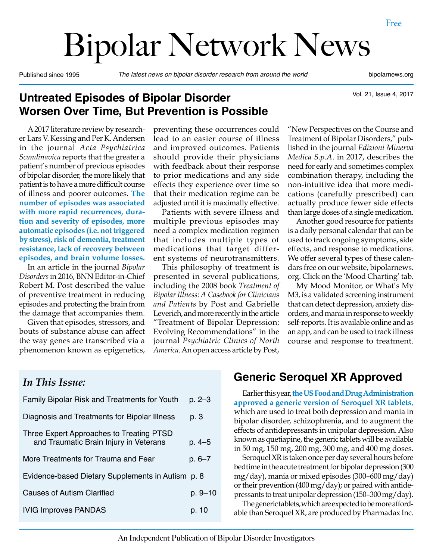# Bipolar Network News

Published since 1995 *The latest news on bipolar disorder research from around the world* bipolarnews.org

Vol. 21, Issue 4, 2017

#### **Untreated Episodes of Bipolar Disorder Worsen Over Time, But Prevention is Possible**

A 2017 literature review by researcher Lars V. Kessing and Per K. Andersen in the journal *Acta Psychiatrica Scandinavica* reports that the greater a patient's number of previous episodes of bipolar disorder, the more likely that patient is to have a more difficult course of illness and poorer outcomes. **The number of episodes was associated with more rapid recurrences, duration and severity of episodes, more automatic episodes (i.e. not triggered by stress), risk of dementia, treatment resistance, lack of recovery between episodes, and brain volume losses.**

In an article in the journal *Bipolar Disorders* in 2016, BNN Editor-in-Chief Robert M. Post described the value of preventive treatment in reducing episodes and protecting the brain from the damage that accompanies them.

Given that episodes, stressors, and bouts of substance abuse can affect the way genes are transcribed via a phenomenon known as epigenetics, preventing these occurrences could lead to an easier course of illness and improved outcomes. Patients should provide their physicians with feedback about their response to prior medications and any side effects they experience over time so that their medication regime can be adjusted until it is maximally effective.

Patients with severe illness and multiple previous episodes may need a complex medication regimen that includes multiple types of medications that target different systems of neurotransmitters.

This philosophy of treatment is presented in several publications, including the 2008 book *Treatment of Bipolar Illness: A Casebook for Clinicians and Patients* by Post and Gabrielle Leverich, and more recently in the article "Treatment of Bipolar Depression: Evolving Recommendations" in the journal *Psychiatric Clinics of North America*. An open access article by Post,

"New Perspectives on the Course and Treatment of Bipolar Disorders," published in the journal *Edizioni Minerva Medica S.p.A*. in 2017, describes the need for early and sometimes complex combination therapy, including the non-intuitive idea that more medications (carefully prescribed) can actually produce fewer side effects than large doses of a single medication.

Another good resource for patients is a daily personal calendar that can be used to track ongoing symptoms, side effects, and response to medications. We offer several types of these calendars free on our website, bipolarnews. org. Click on the 'Mood Charting' tab.

My Mood Monitor, or What's My M3, is a validated screening instrument that can detect depression, anxiety disorders, and mania in response to weekly self-reports. It is available online and as an app, and can be used to track illness course and response to treatment.

#### *In This Issue:*

| <b>Family Bipolar Risk and Treatments for Youth</b>                                | p. 2–3     |
|------------------------------------------------------------------------------------|------------|
| Diagnosis and Treatments for Bipolar Illness                                       | p. 3       |
| Three Expert Approaches to Treating PTSD<br>and Traumatic Brain Injury in Veterans | p. 4–5     |
| More Treatments for Trauma and Fear                                                | $p.6 - 7$  |
| Evidence-based Dietary Supplements in Autism p. 8                                  |            |
| Causes of Autism Clarified                                                         | $p.9 - 10$ |
| <b>IVIG Improves PANDAS</b>                                                        | p. 10      |
|                                                                                    |            |

#### **Generic Seroquel XR Approved**

Earlier this year, **the US Food and Drug Administration approved a generic version of Seroquel XR tablets**, which are used to treat both depression and mania in bipolar disorder, schizophrenia, and to augment the effects of antidepressants in unipolar depression. Also known as quetiapine, the generic tablets will be available in 50 mg, 150 mg, 200 mg, 300 mg, and 400 mg doses.

Seroquel XR is taken once per day several hours before bedtime in the acute treatment for bipolar depression (300 mg/day), mania or mixed episodes (300–600 mg/day) or their prevention (400 mg/day); or paired with antidepressants to treat unipolar depression (150–300 mg/day).

The generic tablets, which are expected to be more affordable than Seroquel XR, are produced by Pharmadax Inc.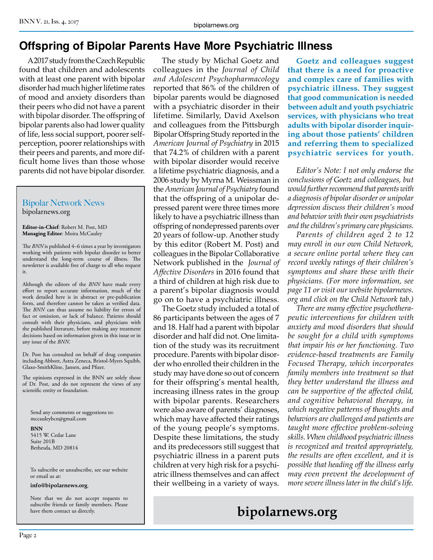# **Offspring of Bipolar Parents Have More Psychiatric Illness**

A 2017 study from the Czech Republic found that children and adolescents with at least one parent with bipolar disorder had much higher lifetime rates of mood and anxiety disorders than their peers who did not have a parent with bipolar disorder. The offspring of bipolar parents also had lower quality of life, less social support, poorer selfperception, poorer relationships with their peers and parents, and more difficult home lives than those whose parents did not have bipolar disorder.

#### Bipolar Network News bipolarnews.org

**Editor-in-Chief**: Robert M. Post, MD **Managing Editor**: Moira McCauley

The *BNN* is published 4–6 times a year by investigators working with patients with bipolar disorder to better understand the long-term course of illness. The newsletter is available free of charge to all who request it.

Although the editors of the *BNN* have made every effort to report accurate information, much of the work detailed here is in abstract or pre-publication form, and therefore cannot be taken as verified data. The *BNN* can thus assume no liability for errors of fact or omission, or lack of balance. Patients should consult with their physicians, and physicians with the published literature, before making any treatment decisions based on information given in this issue or in any issue of the *BNN*.

Dr. Post has consulted on behalf of drug companies including Abbott, Astra Zeneca, Bristol-Myers Squibb, Glaxo-SmithKline, Jansen, and Pfizer.

The opinions expressed in the BNN are solely those of Dr. Post, and do not represent the views of any scientific entity or foundation.

Send any comments or suggestions to: mccauleybcn@gmail.com

**BNN** 5415 W. Cedar Lane Suite 201B Bethesda, MD 20814

To subscribe or unsubscribe, see our website or email us at:

**info@bipolarnews.org**.

Note that we do not accept requests to subscribe friends or family members. Please have them contact us directly.

The study by Michal Goetz and colleagues in the *Journal of Child and Adolescent Psychopharmacology*  reported that 86% of the children of bipolar parents would be diagnosed with a psychiatric disorder in their lifetime. Similarly, David Axelson and colleagues from the Pittsburgh Bipolar Offspring Study reported in the *American Journal of Psychiatry* in 2015 that 74.2% of children with a parent with bipolar disorder would receive a lifetime psychiatric diagnosis, and a 2006 study by Myrna M. Weissman in the *American Journal of Psychiatry* found that the offspring of a unipolar depressed parent were three times more likely to have a psychiatric illness than offspring of nondepressed parents over 20 years of follow-up. Another study by this editor (Robert M. Post) and colleagues in the Bipolar Collaborative Network published in the *Journal of Affective Disorders* in 2016 found that a third of children at high risk due to a parent's bipolar diagnosis would go on to have a psychiatric illness.

The Goetz study included a total of 86 participants between the ages of 7 and 18. Half had a parent with bipolar disorder and half did not. One limitation of the study was its recruitment procedure. Parents with bipolar disorder who enrolled their children in the study may have done so out of concern for their offspring's mental health, increasing illness rates in the group with bipolar parents. Researchers were also aware of parents' diagnoses, which may have affected their ratings of the young people's symptoms. Despite these limitations, the study and its predecessors still suggest that psychiatric illness in a parent puts children at very high risk for a psychiatric illness themselves and can affect their wellbeing in a variety of ways.

**Goetz and colleagues suggest that there is a need for proactive and complex care of families with psychiatric illness. They suggest that good communication is needed between adult and youth psychiatric services, with physicians who treat adults with bipolar disorder inquiring about those patients' children and referring them to specialized psychiatric services for youth.**

*Editor's Note: I not only endorse the conclusions of Goetz and colleagues, but would further recommend that parents with a diagnosis of bipolar disorder or unipolar depression discuss their children's mood and behavior with their own psychiatrists and the children's primary care physicians.*

*Parents of children aged 2 to 12 may enroll in our own Child Network, a secure online portal where they can record weekly ratings of their children's symptoms and share these with their physicians. (For more information, see page 11 or visit our website bipolarnews. org and click on the Child Network tab.)*

*There are many effective psychotherapeutic interventions for children with anxiety and mood disorders that should be sought for a child with symptoms that impair his or her functioning. Two evidence-based treatments are Family Focused Therapy, which incorporates family members into treatment so that they better understand the illness and can be supportive of the affected child, and cognitive behavioral therapy, in which negative patterns of thoughts and behaviors are challenged and patients are taught more effective problem-solving skills. When childhood psychiatric illness is recognized and treated appropriately, the results are often excellent, and it is possible that heading off the illness early may even prevent the development of more severe illness later in the child's life.*

# **bipolarnews.org**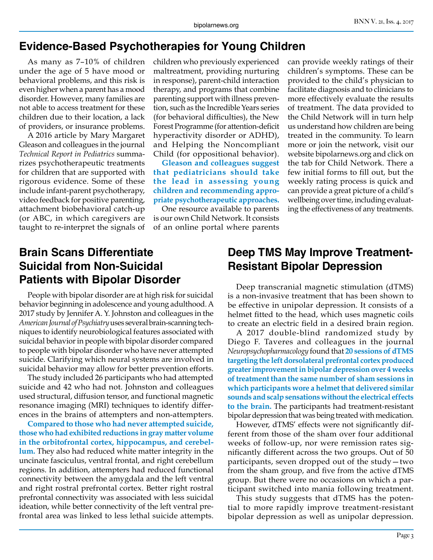#### **Evidence-Based Psychotherapies for Young Children**

As many as 7–10% of children under the age of 5 have mood or behavioral problems, and this risk is even higher when a parent has a mood disorder. However, many families are not able to access treatment for these children due to their location, a lack of providers, or insurance problems.

A 2016 article by Mary Margaret Gleason and colleagues in the journal *Technical Report in Pediatrics* summarizes psychotherapeutic treatments for children that are supported with rigorous evidence. Some of these include infant-parent psychotherapy, video feedback for positive parenting, attachment biobehavioral catch-up (or ABC, in which caregivers are taught to re-interpret the signals of

children who previously experienced maltreatment, providing nurturing in response), parent-child interaction therapy, and programs that combine parenting support with illness prevention, such as the Incredible Years series (for behavioral difficulties), the New Forest Programme (for attention-deficit hyperactivity disorder or ADHD), and Helping the Noncompliant Child (for oppositional behavior).

**Gleason and colleagues suggest that pediatricians should take the lead in assessing young children and recommending appropriate psychotherapeutic approaches.**

One resource available to parents is our own Child Network. It consists of an online portal where parents can provide weekly ratings of their children's symptoms. These can be provided to the child's physician to facilitate diagnosis and to clinicians to more effectively evaluate the results of treatment. The data provided to the Child Network will in turn help us understand how children are being treated in the community. To learn more or join the network, visit our website bipolarnews.org and click on the tab for Child Network. There a few initial forms to fill out, but the weekly rating process is quick and can provide a great picture of a child's wellbeing over time, including evaluating the effectiveness of any treatments.

## **Brain Scans Differentiate Suicidal from Non-Suicidal Patients with Bipolar Disorder**

People with bipolar disorder are at high risk for suicidal behavior beginning in adolescence and young adulthood. A 2017 study by Jennifer A. Y. Johnston and colleagues in the *American Journal of Psychiatry* uses several brain-scanning techniques to identify neurobiological features associated with suicidal behavior in people with bipolar disorder compared to people with bipolar disorder who have never attempted suicide. Clarifying which neural systems are involved in suicidal behavior may allow for better prevention efforts.

The study included 26 participants who had attempted suicide and 42 who had not. Johnston and colleagues used structural, diffusion tensor, and functional magnetic resonance imaging (MRI) techniques to identify differences in the brains of attempters and non-attempters.

**Compared to those who had never attempted suicide, those who had exhibited reductions in gray matter volume in the orbitofrontal cortex, hippocampus, and cerebellum.** They also had reduced white matter integrity in the uncinate fasciculus, ventral frontal, and right cerebellum regions. In addition, attempters had reduced functional connectivity between the amygdala and the left ventral and right rostral prefrontal cortex. Better right rostral prefrontal connectivity was associated with less suicidal ideation, while better connectivity of the left ventral prefrontal area was linked to less lethal suicide attempts.

#### **Deep TMS May Improve Treatment-Resistant Bipolar Depression**

Deep transcranial magnetic stimulation (dTMS) is a non-invasive treatment that has been shown to be effective in unipolar depression. It consists of a helmet fitted to the head, which uses magnetic coils to create an electric field in a desired brain region.

A 2017 double-blind randomized study by Diego F. Taveres and colleagues in the journal *Neuropsychopharmacology* found that **20 sessions of dTMS targeting the left dorsolateral prefrontal cortex produced greater improvement in bipolar depression over 4 weeks of treatment than the same number of sham sessions in which participants wore a helmet that delivered similar sounds and scalp sensations without the electrical effects to the brain.** The participants had treatment-resistant bipolar depression that was being treated with medication.

However, dTMS' effects were not significantly different from those of the sham over four additional weeks of follow-up, nor were remission rates significantly different across the two groups. Out of 50 participants, seven dropped out of the study—two from the sham group, and five from the active dTMS group. But there were no occasions on which a participant switched into mania following treatment.

This study suggests that dTMS has the potential to more rapidly improve treatment-resistant bipolar depression as well as unipolar depression.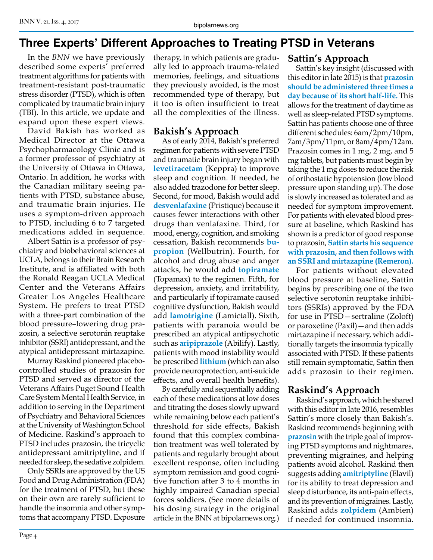# **Three Experts' Different Approaches to Treating PTSD in Veterans**

In the *BNN* we have previously described some experts' preferred treatment algorithms for patients with treatment-resistant post-traumatic stress disorder (PTSD), which is often complicated by traumatic brain injury (TBI). In this article, we update and expand upon these expert views.

David Bakish has worked as Medical Director at the Ottawa Psychopharmacology Clinic and is a former professor of psychiatry at the University of Ottawa in Ottawa, Ontario. In addition, he works with the Canadian military seeing patients with PTSD, substance abuse, and traumatic brain injuries. He uses a symptom-driven approach to PTSD, including 6 to 7 targeted medications added in sequence.

Albert Sattin is a professor of psychiatry and biobehavioral sciences at UCLA, belongs to their Brain Research Institute, and is affiliated with both the Ronald Reagan UCLA Medical Center and the Veterans Affairs Greater Los Angeles Healthcare System. He prefers to treat PTSD with a three-part combination of the blood pressure–lowering drug prazosin, a selective serotonin reuptake inhibitor (SSRI) antidepressant, and the atypical antidepressant mirtazapine.

Murray Raskind pioneered placebocontrolled studies of prazosin for PTSD and served as director of the Veterans Affairs Puget Sound Health Care System Mental Health Service, in addition to serving in the Department of Psychiatry and Behavioral Sciences at the University of Washington School of Medicine. Raskind's approach to PTSD includes prazosin, the tricyclic antidepressant amitriptyline, and if needed for sleep, the sedative zolpidem.

Only SSRIs are approved by the US Food and Drug Administration (FDA) for the treatment of PTSD, but these on their own are rarely sufficient to handle the insomnia and other symptoms that accompany PTSD. Exposure therapy, in which patients are gradually led to approach trauma-related memories, feelings, and situations they previously avoided, is the most recommended type of therapy, but it too is often insufficient to treat all the complexities of the illness.

#### **Bakish's Approach**

As of early 2014, Bakish's preferred regimen for patients with severe PTSD and traumatic brain injury began with **levetiracetam** (Keppra) to improve sleep and cognition. If needed, he also added trazodone for better sleep. Second, for mood, Bakish would add **desvenlafaxine** (Pristique) because it causes fewer interactions with other drugs than venlafaxine. Third, for mood, energy, cognition, and smoking cessation, Bakish recommends **bupropion** (Wellbutrin). Fourth, for alcohol and drug abuse and anger attacks, he would add **topiramate** (Topamax) to the regimen. Fifth, for depression, anxiety, and irritability, and particularly if topiramate caused cognitive dysfunction, Bakish would add **lamotrigine** (Lamictall). Sixth, patients with paranoia would be prescribed an atypical antipsychotic such as **aripiprazole** (Abilify). Lastly, patients with mood instability would be prescribed **lithium** (which can also provide neuroprotection, anti-suicide effects, and overall health benefits).

By carefully and sequentially adding each of these medications at low doses and titrating the doses slowly upward while remaining below each patient's threshold for side effects, Bakish found that this complex combination treatment was well tolerated by patients and regularly brought about excellent response, often including symptom remission and good cognitive function after 3 to 4 months in highly impaired Canadian special forces soldiers. (See more details of his dosing strategy in the original article in the BNN at bipolarnews.org.)

Sattin's key insight (discussed with this editor in late 2015) is that **prazosin should be administered three times a day because of its short half-life.** This allows for the treatment of daytime as well as sleep-related PTSD symptoms. Sattin has patients choose one of three different schedules: 6am/2pm/10pm, 7am/3pm/11pm, or 8am/4pm/12am. Prazosin comes in 1 mg, 2 mg, and 5 mg tablets, but patients must begin by taking the 1 mg doses to reduce the risk of orthostatic hypotension (low blood pressure upon standing up). The dose is slowly increased as tolerated and as needed for symptom improvement. For patients with elevated blood pressure at baseline, which Raskind has shown is a predictor of good response to prazosin, **Sattin starts his sequence with prazosin, and then follows with an SSRI and mirtazapine (Remeron).**

For patients without elevated blood pressure at baseline, Sattin begins by prescribing one of the two selective serotonin reuptake inhibitors (SSRIs) approved by the FDA for use in PTSD—sertraline (Zoloft) or paroxetine (Paxil)—and then adds mirtazapine if necessary, which additionally targets the insomnia typically associated with PTSD. If these patients still remain symptomatic, Sattin then adds prazosin to their regimen.

## **Raskind's Approach**

Raskind's approach, which he shared with this editor in late 2016, resembles Sattin's more closely than Bakish's. Raskind recommends beginning with **prazosin** with the triple goal of improving PTSD symptoms and nightmares, preventing migraines, and helping patients avoid alcohol. Raskind then suggests adding **amitriptyline** (Elavil) for its ability to treat depression and sleep disturbance, its anti-pain effects, and its prevention of migraines. Lastly, Raskind adds **zolpidem** (Ambien) if needed for continued insomnia.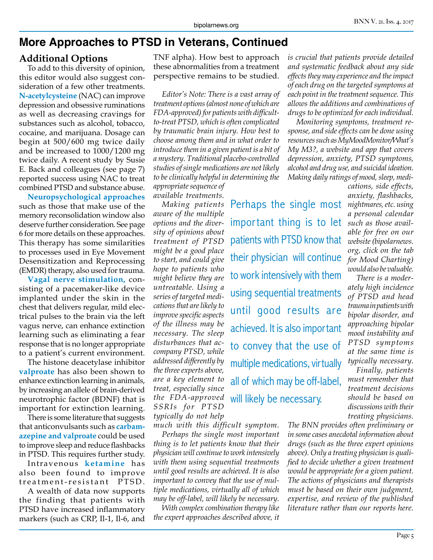#### **More Approaches to PTSD in Veterans, Continued**

#### **Additional Options**

To add to this diversity of opinion, this editor would also suggest consideration of a few other treatments. **N-acetylcysteine** (NAC) can improve depression and obsessive ruminations as well as decreasing cravings for substances such as alcohol, tobacco, cocaine, and marijuana. Dosage can begin at 500/600 mg twice daily and be increased to 1000/1200 mg twice daily. A recent study by Susie E. Back and colleagues (see page 7) reported success using NAC to treat combined PTSD and substance abuse.

**Neuropsychological approaches**  such as those that make use of the memory reconsolidation window also deserve further consideration. See page 6 for more details on these approaches. This therapy has some similarities to processes used in Eye Movement Desensitization and Reprocessing (EMDR) therapy, also used for trauma.

**Vagal nerve stimulation,** consisting of a pacemaker-like device implanted under the skin in the chest that delivers regular, mild electrical pulses to the brain via the left vagus nerve, can enhance extinction learning such as eliminating a fear response that is no longer appropriate to a patient's current environment.

The histone deacetylase inhibitor **valproate** has also been shown to enhance extinction learning in animals, by increasing an allele of brain-derived neurotrophic factor (BDNF) that is important for extinction learning.

There is some literature that suggests that anticonvulsants such as **carbamazepine and valproate** could be used to improve sleep and reduce flashbacks in PTSD. This requires further study.

Intravenous **ketamine** has also been found to improve treatment-resistant PTSD.

A wealth of data now supports the finding that patients with PTSD have increased inflammatory markers (such as CRP, Il-1, Il-6, and TNF alpha). How best to approach these abnormalities from a treatment perspective remains to be studied.

*Editor's Note: There is a vast array of treatment options (almost none of which are FDA-approved) for patients with difficultto-treat PTSD, which is often complicated by traumatic brain injury. How best to choose among them and in what order to introduce them in a given patient is a bit of a mystery. Traditional placebo-controlled studies of single medications are not likely to be clinically helpful in determining the appropriate sequence of* 

*available treatments. Making patients aware of the multiple options and the diversity of opinions about treatment of PTSD might be a good place to start, and could give hope to patients who might believe they are untreatable. Using a series of targeted medications that are likely to improve specific aspects of the illness may be necessary. The sleep disturbances that accompany PTSD, while addressed differently by the three experts above, are a key element to* 

*SSRIs for PTSD typically do not help* 

*much with this difficult symptom. Perhaps the single most important thing is to let patients know that their physician will continue to work intensively with them using sequential treatments until good results are achieved. It is also important to convey that the use of multiple medications, virtually all of which may be off-label, will likely be necessary. With complex combination therapy like the expert approaches described above, it* 

to work intensively with them using sequential treatments until good results are achieved. It is also important to convey that the use of multiple medications, virtually all of which may be off-label, will likely be necessary. *treat, especially since the FDA-approved* 

important thing is to let

patients with PTSD know that

their physician will continue

*is crucial that patients provide detailed and systematic feedback about any side effects they may experience and the impact of each drug on the targeted symptoms at each point in the treatment sequence. This allows the additions and combinations of drugs to be optimized for each individual.* 

*Monitoring symptoms, treatment response, and side effects can be done using resources such as MyMoodMonitor/What's My M3?, a website and app that covers depression, anxiety, PTSD symptoms, alcohol and drug use, and suicidal ideation. Making daily ratings of mood, sleep, medi-*

Perhaps the single most *nightmares, etc. using cations, side effects, anxiety, flashbacks, a personal calendar such as those available for free on our website (bipolarnews. org, click on the tab for Mood Charting) would also be valuable.*

*There is a moderately high incidence of PTSD and head trauma in patients with bipolar disorder, and approaching bipolar mood instability and PTSD symptoms at the same time is typically necessary.*

*Finally, patients must remember that treatment decisions should be based on discussions with their treating physicians.* 

*The BNN provides often preliminary or in some cases anecdotal information about drugs (such as the three expert opinions above). Only a treating physician is qualified to decide whether a given treatment would be appropriate for a given patient. The actions of physicians and therapists must be based on their own judgment, expertise, and review of the published literature rather than our reports here.*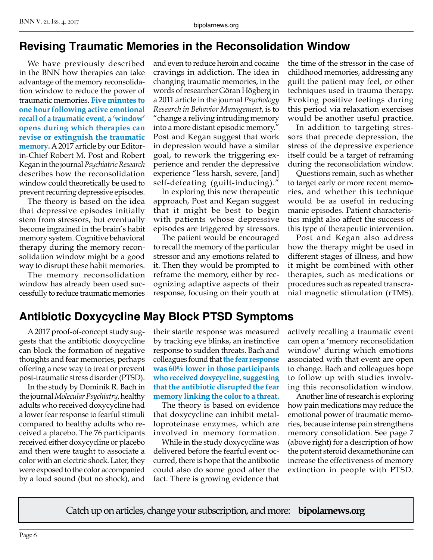#### **Revising Traumatic Memories in the Reconsolidation Window**

We have previously described in the BNN how therapies can take advantage of the memory reconsolidation window to reduce the power of traumatic memories. **Five minutes to one hour following active emotional recall of a traumatic event, a 'window' opens during which therapies can revise or extinguish the traumatic memory.** A 2017 article by our Editorin-Chief Robert M. Post and Robert Kegan in the journal *Psychiatric Research*  describes how the reconsolidation window could theoretically be used to prevent recurring depressive episodes.

The theory is based on the idea that depressive episodes initially stem from stressors, but eventually become ingrained in the brain's habit memory system. Cognitive behavioral therapy during the memory reconsolidation window might be a good way to disrupt these habit memories.

The memory reconsolidation window has already been used successfully to reduce traumatic memories and even to reduce heroin and cocaine cravings in addiction. The idea in changing traumatic memories, in the words of researcher Göran Högberg in a 2011 article in the journal *Psychology Research in Behavior Management*, is to "change a reliving intruding memory into a more distant episodic memory." Post and Kegan suggest that work in depression would have a similar goal, to rework the triggering experience and render the depressive experience "less harsh, severe, [and] self-defeating (guilt-inducing)."

In exploring this new therapeutic approach, Post and Kegan suggest that it might be best to begin with patients whose depressive episodes are triggered by stressors.

The patient would be encouraged to recall the memory of the particular stressor and any emotions related to it. Then they would be prompted to reframe the memory, either by recognizing adaptive aspects of their response, focusing on their youth at

the time of the stressor in the case of childhood memories, addressing any guilt the patient may feel, or other techniques used in trauma therapy. Evoking positive feelings during this period via relaxation exercises would be another useful practice.

In addition to targeting stressors that precede depression, the stress of the depressive experience itself could be a target of reframing during the reconsolidation window.

Questions remain, such as whether to target early or more recent memories, and whether this technique would be as useful in reducing manic episodes. Patient characteristics might also affect the success of this type of therapeutic intervention.

Post and Kegan also address how the therapy might be used in different stages of illness, and how it might be combined with other therapies, such as medications or procedures such as repeated transcranial magnetic stimulation (rTMS).

# **Antibiotic Doxycycline May Block PTSD Symptoms**

A 2017 proof-of-concept study suggests that the antibiotic doxycycline can block the formation of negative thoughts and fear memories, perhaps offering a new way to treat or prevent post-traumatic stress disorder (PTSD).

In the study by Dominik R. Bach in the journal *Molecular Psychiatry*, healthy adults who received doxycycline had a lower fear response to fearful stimuli compared to healthy adults who received a placebo. The 76 participants received either doxycycline or placebo and then were taught to associate a color with an electric shock. Later, they were exposed to the color accompanied by a loud sound (but no shock), and

their startle response was measured by tracking eye blinks, an instinctive response to sudden threats. Bach and colleagues found that **the fear response was 60% lower in those participants who received doxycycline, suggesting that the antibiotic disrupted the fear memory linking the color to a threat.**

The theory is based on evidence that doxycycline can inhibit metalloproteinase enzymes, which are involved in memory formation.

While in the study doxycycline was delivered before the fearful event occurred, there is hope that the antibiotic could also do some good after the fact. There is growing evidence that

actively recalling a traumatic event can open a 'memory reconsolidation window' during which emotions associated with that event are open to change. Bach and colleagues hope to follow up with studies involving this reconsolidation window.

Another line of research is exploring how pain medications may reduce the emotional power of traumatic memories, because intense pain strengthens memory consolidation. See page 7 (above right) for a description of how the potent steroid dexamethonine can increase the effectiveness of memory extinction in people with PTSD.

Catch up on articles, change your subscription, and more: **bipolarnews.org**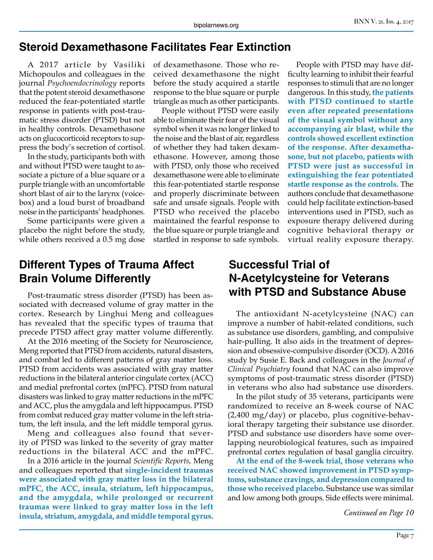#### **Steroid Dexamethasone Facilitates Fear Extinction**

A 2017 article by Vasiliki Michopoulos and colleagues in the journal *Psychoendocrinology* reports that the potent steroid dexamethasone reduced the fear-potentiated startle response in patients with post-traumatic stress disorder (PTSD) but not in healthy controls. Dexamethasone acts on glucocorticoid receptors to suppress the body's secretion of cortisol.

In the study, participants both with and without PTSD were taught to associate a picture of a blue square or a purple triangle with an uncomfortable short blast of air to the larynx (voicebox) and a loud burst of broadband noise in the participants' headphones.

Some participants were given a placebo the night before the study, while others received a 0.5 mg dose

#### **Different Types of Trauma Affect Brain Volume Differently**

Post-traumatic stress disorder (PTSD) has been associated with decreased volume of gray matter in the cortex. Research by Linghui Meng and colleagues has revealed that the specific types of trauma that precede PTSD affect gray matter volume differently.

At the 2016 meeting of the Society for Neuroscience, Meng reported that PTSD from accidents, natural disasters, and combat led to different patterns of gray matter loss. PTSD from accidents was associated with gray matter reductions in the bilateral anterior cingulate cortex (ACC) and medial prefrontal cortex (mPFC). PTSD from natural disasters was linked to gray matter reductions in the mPFC and ACC, plus the amygdala and left hippocampus. PTSD from combat reduced gray matter volume in the left striatum, the left insula, and the left middle temporal gyrus.

Meng and colleagues also found that severity of PTSD was linked to the severity of gray matter reductions in the bilateral ACC and the mPFC.

In a 2016 article in the journal *Scientific Reports*, Meng and colleagues reported that **single-incident traumas were associated with gray matter loss in the bilateral mPFC, the ACC, insula, striatum, left hippocampus, and the amygdala, while prolonged or recurrent traumas were linked to gray matter loss in the left insula, striatum, amygdala, and middle temporal gyrus.**

of dexamethasone. Those who received dexamethasone the night before the study acquired a startle response to the blue square or purple triangle as much as other participants.

People without PTSD were easily able to eliminate their fear of the visual symbol when it was no longer linked to the noise and the blast of air, regardless of whether they had taken dexamethasone. However, among those with PTSD, only those who received dexamethasone were able to eliminate this fear-potentiated startle response and properly discriminate between safe and unsafe signals. People with PTSD who received the placebo maintained the fearful response to the blue square or purple triangle and startled in response to safe symbols.

People with PTSD may have difficulty learning to inhibit their fearful responses to stimuli that are no longer dangerous. In this study, **the patients with PTSD continued to startle even after repeated presentations of the visual symbol without any accompanying air blast, while the controls showed excellent extinction of the response. After dexamethasone, but not placebo, patients with PTSD were just as successful in extinguishing the fear potentiated startle response as the controls.** The authors conclude that dexamethasone could help facilitate extinction-based interventions used in PTSD, such as exposure therapy delivered during cognitive behavioral therapy or virtual reality exposure therapy.

#### **Successful Trial of N-Acetylcysteine for Veterans with PTSD and Substance Abuse**

The antioxidant N-acetylcysteine (NAC) can improve a number of habit-related conditions, such as substance use disorders, gambling, and compulsive hair-pulling. It also aids in the treatment of depression and obsessive-compulsive disorder (OCD). A 2016 study by Susie E. Back and colleagues in the *Journal of Clinical Psychiatry* found that NAC can also improve symptoms of post-traumatic stress disorder (PTSD) in veterans who also had substance use disorders.

In the pilot study of 35 veterans, participants were randomized to receive an 8-week course of NAC (2,400 mg/day) or placebo, plus cognitive-behavioral therapy targeting their substance use disorder. PTSD and substance use disorders have some overlapping neurobiological features, such as impaired prefrontal cortex regulation of basal ganglia circuitry.

**At the end of the 8-week trial, those veterans who received NAC showed improvement in PTSD symptoms, substance cravings, and depression compared to those who received placebo.** Substance use was similar and low among both groups. Side effects were minimal.

*Continued on Page 10*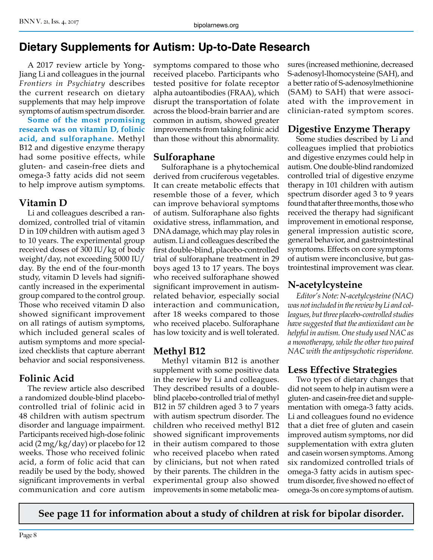# **Dietary Supplements for Autism: Up-to-Date Research**

A 2017 review article by Yong-Jiang Li and colleagues in the journal *Frontiers in Psychiatry* describes the current research on dietary supplements that may help improve symptoms of autism spectrum disorder.

**Some of the most promising research was on vitamin D, folinic acid, and sulforaphane.** Methyl B12 and digestive enzyme therapy had some positive effects, while gluten- and casein-free diets and omega-3 fatty acids did not seem to help improve autism symptoms.

## **Vitamin D**

Li and colleagues described a randomized, controlled trial of vitamin D in 109 children with autism aged 3 to 10 years. The experimental group received doses of 300 IU/kg of body weight/day, not exceeding 5000 IU/ day. By the end of the four-month study, vitamin D levels had significantly increased in the experimental group compared to the control group. Those who received vitamin D also showed significant improvement on all ratings of autism symptoms, which included general scales of autism symptoms and more specialized checklists that capture aberrant behavior and social responsiveness.

## **Folinic Acid**

The review article also described a randomized double-blind placebocontrolled trial of folinic acid in 48 children with autism spectrum disorder and language impairment. Participants received high-dose folinic acid (2 mg/kg/day) or placebo for 12 weeks. Those who received folinic acid, a form of folic acid that can readily be used by the body, showed significant improvements in verbal communication and core autism

symptoms compared to those who received placebo. Participants who tested positive for folate receptor alpha autoantibodies (FRAA), which disrupt the transportation of folate across the blood-brain barrier and are common in autism, showed greater improvements from taking folinic acid than those without this abnormality.

#### **Sulforaphane**

Sulforaphane is a phytochemical derived from cruciferous vegetables. It can create metabolic effects that resemble those of a fever, which can improve behavioral symptoms of autism. Sulforaphane also fights oxidative stress, inflammation, and DNA damage, which may play roles in autism. Li and colleagues described the first double-blind, placebo-controlled trial of sulforaphane treatment in 29 boys aged 13 to 17 years. The boys who received sulforaphane showed significant improvement in autismrelated behavior, especially social interaction and communication, after 18 weeks compared to those who received placebo. Sulforaphane has low toxicity and is well tolerated.

## **Methyl B12**

Methyl vitamin B12 is another supplement with some positive data in the review by Li and colleagues. They described results of a doubleblind placebo-controlled trial of methyl B12 in 57 children aged 3 to 7 years with autism spectrum disorder. The children who received methyl B12 showed significant improvements in their autism compared to those who received placebo when rated by clinicians, but not when rated by their parents. The children in the experimental group also showed improvements in some metabolic measures (increased methionine, decreased S-adenosyl-lhomocysteine (SAH), and a better ratio of S-adenosylmethionine (SAM) to SAH) that were associated with the improvement in clinician-rated symptom scores.

## **Digestive Enzyme Therapy**

Some studies described by Li and colleagues implied that probiotics and digestive enzymes could help in autism. One double-blind randomized controlled trial of digestive enzyme therapy in 101 children with autism spectrum disorder aged 3 to 9 years found that after three months, those who received the therapy had significant improvement in emotional response, general impression autistic score, general behavior, and gastrointestinal symptoms. Effects on core symptoms of autism were inconclusive, but gastrointestinal improvement was clear.

## **N-acetylcysteine**

*Editor's Note: N-acetylcysteine (NAC) was not included in the review by Li and colleagues, but three placebo-controlled studies have suggested that the antioxidant can be helpful in autism. One study used NAC as a monotherapy, while the other two paired NAC with the antipsychotic risperidone.*

## **Less Effective Strategies**

Two types of dietary changes that did not seem to help in autism were a gluten- and casein-free diet and supplementation with omega-3 fatty acids. Li and colleagues found no evidence that a diet free of gluten and casein improved autism symptoms, nor did supplementation with extra gluten and casein worsen symptoms. Among six randomized controlled trials of omega-3 fatty acids in autism spectrum disorder, five showed no effect of omega-3s on core symptoms of autism.

**See page 11 for information about a study of children at risk for bipolar disorder.**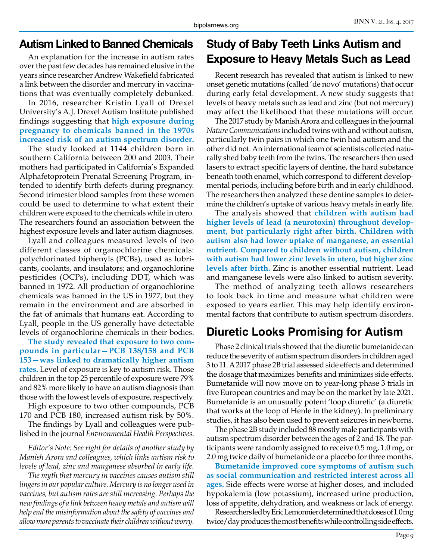#### **Autism Linked to Banned Chemicals**

An explanation for the increase in autism rates over the past few decades has remained elusive in the years since researcher Andrew Wakefield fabricated a link between the disorder and mercury in vaccinations that was eventually completely debunked.

In 2016, researcher Kristin Lyall of Drexel University's A.J. Drexel Autism Institute published findings suggesting that **high exposure during pregnancy to chemicals banned in the 1970s increased risk of an autism spectrum disorder.**

The study looked at 1144 children born in southern California between 200 and 2003. Their mothers had participated in California's Expanded Alphafetoprotein Prenatal Screening Program, intended to identify birth defects during pregnancy. Second trimester blood samples from these women could be used to determine to what extent their children were exposed to the chemicals while in utero. The researchers found an association between the highest exposure levels and later autism diagnoses.

Lyall and colleagues measured levels of two different classes of organochlorine chemicals: polychlorinated biphenyls (PCBs), used as lubricants, coolants, and insulators; and organochlorine pesticides (OCPs), including DDT, which was banned in 1972. All production of organochlorine chemicals was banned in the US in 1977, but they remain in the environment and are absorbed in the fat of animals that humans eat. According to Lyall, people in the US generally have detectable levels of organochlorine chemicals in their bodies.

**The study revealed that exposure to two compounds in particular—PCB 138/158 and PCB 153—was linked to dramatically higher autism rates.** Level of exposure is key to autism risk. Those children in the top 25 percentile of exposure were 79% and 82% more likely to have an autism diagnosis than those with the lowest levels of exposure, respectively.

High exposure to two other compounds, PCB 170 and PCB 180, increased autism risk by 50%.

The findings by Lyall and colleagues were published in the journal *Environmental Health Perspectives*.

*Editor's Note: See right for details of another study by Manish Arora and colleagues, which links autism risk to levels of lead, zinc and manganese absorbed in early life.* 

*The myth that mercury in vaccines causes autism still lingers in our popular culture. Mercury is no longer used in vaccines, but autism rates are still increasing. Perhaps the new findings of a link between heavy metals and autism will help end the misinformation about the safety of vaccines and allow more parents to vaccinate their children without worry.*

## **Study of Baby Teeth Links Autism and Exposure to Heavy Metals Such as Lead**

Recent research has revealed that autism is linked to new onset genetic mutations (called 'de novo' mutations) that occur during early fetal development. A new study suggests that levels of heavy metals such as lead and zinc (but not mercury) may affect the likelihood that these mutations will occur.

The 2017 study by Manish Arora and colleagues in the journal *Nature Communications* included twins with and without autism, particularly twin pairs in which one twin had autism and the other did not. An international team of scientists collected naturally shed baby teeth from the twins. The researchers then used lasers to extract specific layers of dentine, the hard substance beneath tooth enamel, which correspond to different developmental periods, including before birth and in early childhood. The researchers then analyzed these dentine samples to determine the children's uptake of various heavy metals in early life.

The analysis showed that **children with autism had higher levels of lead (a neurotoxin) throughout development, but particularly right after birth. Children with autism also had lower uptake of manganese, an essential nutrient. Compared to children without autism, children with autism had lower zinc levels in utero, but higher zinc levels after birth.** Zinc is another essential nutrient. Lead and manganese levels were also linked to autism severity.

The method of analyzing teeth allows researchers to look back in time and measure what children were exposed to years earlier. This may help identify environmental factors that contribute to autism spectrum disorders.

## **Diuretic Looks Promising for Autism**

Phase 2 clinical trials showed that the diuretic bumetanide can reduce the severity of autism spectrum disorders in children aged 3 to 11. A 2017 phase 2B trial assessed side effects and determined the dosage that maximizes benefits and minimizes side effects. Bumetanide will now move on to year-long phase 3 trials in five European countries and may be on the market by late 2021. Bumetanide is an unusually potent 'loop diuretic' (a diuretic that works at the loop of Henle in the kidney). In preliminary studies, it has also been used to prevent seizures in newborns.

The phase 2B study included 88 mostly male participants with autism spectrum disorder between the ages of 2 and 18. The participants were randomly assigned to receive 0.5 mg, 1.0 mg, or 2.0 mg twice daily of bumetanide or a placebo for three months.

**Bumetanide improved core symptoms of autism such as social communication and restricted interest across all ages.** Side effects were worse at higher doses, and included hypokalemia (low potassium), increased urine production, loss of appetite, dehydration, and weakness or lack of energy.

Researchers led by Eric Lemonnier determined that doses of 1.0 mg twice/day produces the most benefits while controlling side effects.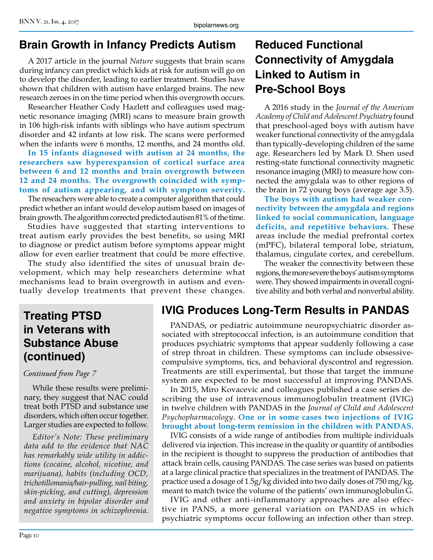### **Brain Growth in Infancy Predicts Autism**

A 2017 article in the journal *Nature* suggests that brain scans during infancy can predict which kids at risk for autism will go on to develop the disorder, leading to earlier treatment. Studies have shown that children with autism have enlarged brains. The new research zeroes in on the time period when this overgrowth occurs.

Researcher Heather Cody Hazlett and colleagues used magnetic resonance imaging (MRI) scans to measure brain growth in 106 high-risk infants with siblings who have autism spectrum disorder and 42 infants at low risk. The scans were performed when the infants were 6 months, 12 months, and 24 months old.

**In 15 infants diagnosed with autism at 24 months, the researchers saw hyperexpansion of cortical surface area between 6 and 12 months and brain overgrowth between 12 and 24 months. The overgrowth coincided with symptoms of autism appearing, and with symptom severity.**

The reseachers were able to create a computer algorithm that could predict whether an infant would develop autism based on images of brain growth. The algorithm corrected predicted autism 81% of the time.

Studies have suggested that starting interventions to treat autism early provides the best benefits, so using MRI to diagnose or predict autism before symptoms appear might allow for even earlier treatment that could be more effective.

The study also identified the sites of unusual brain development, which may help researchers determine what mechanisms lead to brain overgrowth in autism and eventually develop treatments that prevent these changes.

# **Reduced Functional Connectivity of Amygdala Linked to Autism in Pre-School Boys**

A 2016 study in the *Journal of the American Academy of Child and Adolescent Psychiatry* found that preschool-aged boys with autism have weaker functional connectivity of the amygdala than typically-developing children of the same age. Researchers led by Mark D. Shen used resting-state functional connectivity magnetic resonance imaging (MRI) to measure how connected the amygdala was to other regions of the brain in 72 young boys (average age 3.5).

**The boys with autism had weaker connectivity between the amygdala and regions linked to social communication, language deficits, and repetitive behaviors.** These areas include the medial prefrontal cortex (mPFC), bilateral temporal lobe, striatum, thalamus, cingulate cortex, and cerebellum.

The weaker the connectivity between these regions, the more severe the boys' autism symptoms were. They showed impairments in overall cognitive ability and both verbal and nonverbal ability.

## **Treating PTSD in Veterans with Substance Abuse (continued)**

#### *Continued from Page 7*

While these results were preliminary, they suggest that NAC could treat both PTSD and substance use disorders, which often occur together. Larger studies are expected to follow.

*Editor's Note: These preliminary data add to the evidence that NAC has remarkably wide utility in addictions (cocaine, alcohol, nicotine, and marijuana), habits (including OCD, trichotillomania/hair-pulling, nail biting, skin-picking, and cutting), depression and anxiety in bipolar disorder and negative symptoms in schizophrenia.*

## **IVIG Produces Long-Term Results in PANDAS**

PANDAS, or pediatric autoimmune neuropsychiatric disorder associated with streptococcal infection, is an autoimmune condition that produces psychiatric symptoms that appear suddenly following a case of strep throat in children. These symptoms can include obsessivecompulsive symptoms, tics, and behavioral dyscontrol and regression. Treatments are still experimental, but those that target the immune system are expected to be most successful at improving PANDAS.

In 2015, Miro Kovacevic and colleagues published a case series describing the use of intravenous immunoglobulin treatment (IVIG) in twelve children with PANDAS in the *Journal of Child and Adolescent Psychopharmacology*. **One or in some cases two injections of IVIG brought about long-term remission in the children with PANDAS.**

IVIG consists of a wide range of antibodies from multiple individuals delivered via injection. This increase in the quality or quantity of antibodies in the recipient is thought to suppress the production of antibodies that attack brain cells, causing PANDAS. The case series was based on patients at a large clinical practice that specializes in the treatment of PANDAS. The practice used a dosage of 1.5g/kg divided into two daily doses of 750 mg/kg, meant to match twice the volume of the patients' own immunoglobulin G.

IVIG and other anti-inflammatory approaches are also effective in PANS, a more general variation on PANDAS in which psychiatric symptoms occur following an infection other than strep.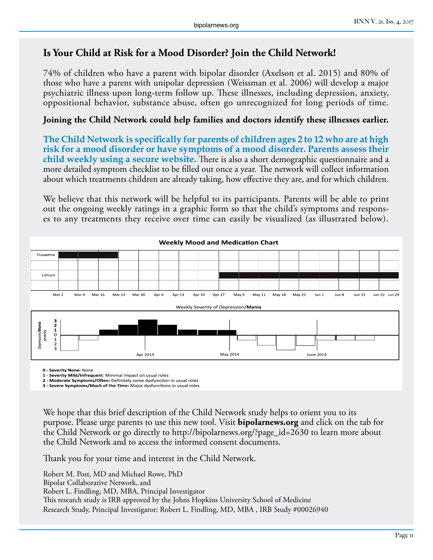#### **Is Your Child at Risk for a Mood Disorder? Join the Child Network!**

74% of children who have a parent with bipolar disorder (Axelson et al. 2015) and 80% of those who have a parent with unipolar depression (Weissman et al. 2006) will develop a major psychiatric illness upon long-term follow up. These illnesses, including depression, anxiety, oppositional behavior, substance abuse, often go unrecognized for long periods of time.

#### **Joining the Child Network could help families and doctors identify these illnesses earlier.**

**The Child Network is specifically for parents of children ages 2 to 12 who are at high risk for a mood disorder or have symptoms of a mood disorder. Parents assess their child weekly using a secure website.** There is also a short demographic questionnaire and a more detailed symptom checklist to be filled out once a year. The network will collect information about which treatments children are already taking, how effective they are, and for which children.

We believe that this network will be helpful to its participants. Parents will be able to print out the ongoing weekly ratings in a graphic form so that the child's symptoms and responses to any treatments they receive over time can easily be visualized (as illustrated below).



**0 - Severity None:** None

**1 - Severity Mild/Infrequent**: Minimal impact on usual roles

**2 - Moderate Symptoms/Often:** Definitely some dysfunction in usual roles **3 - Severe Symptoms/Much of the Time:** Major dysfunctions in usual roles

We hope that this brief description of the Child Network study helps to orient you to its purpose. Please urge parents to use this new tool. Visit **bipolarnews.org** and click on the tab for the Child Network or go directly to http://bipolarnews.org/?page\_id=2630 to learn more about the Child Network and to access the informed consent documents.

Thank you for your time and interest in the Child Network.

Robert M. Post, MD and Michael Rowe, PhD Bipolar Collaborative Network, and Robert L. Findling, MD, MBA, Principal Investigator This research study is IRB approved by the Johns Hopkins University School of Medicine Research Study, Principal Investigator: Robert L. Findling, MD, MBA , IRB Study #00026940